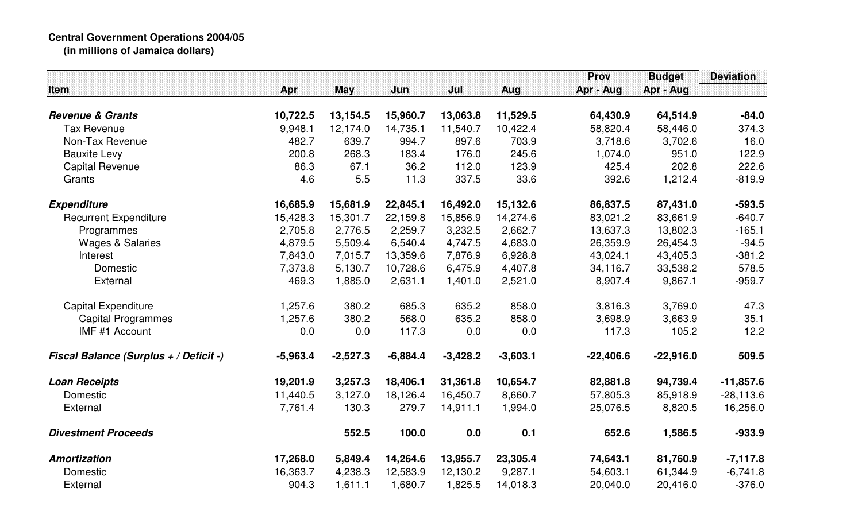## **Central Government Operations 2004/05 (in millions of Jamaica dollars)**

|                                        |            |            |            |            |            | <b>Prov</b> | <b>Budget</b> | <b>Deviation</b> |
|----------------------------------------|------------|------------|------------|------------|------------|-------------|---------------|------------------|
| Item                                   | Apr        | <b>May</b> | Jun        | Jul        | Aug        | Apr - Aug   | Apr - Aug     |                  |
| <b>Revenue &amp; Grants</b>            | 10,722.5   | 13,154.5   | 15,960.7   | 13,063.8   | 11,529.5   | 64,430.9    | 64,514.9      | $-84.0$          |
| <b>Tax Revenue</b>                     | 9,948.1    | 12,174.0   | 14,735.1   | 11,540.7   | 10,422.4   | 58,820.4    | 58,446.0      | 374.3            |
| Non-Tax Revenue                        | 482.7      | 639.7      | 994.7      | 897.6      | 703.9      | 3,718.6     | 3,702.6       | 16.0             |
| <b>Bauxite Levy</b>                    | 200.8      | 268.3      | 183.4      | 176.0      | 245.6      | 1,074.0     | 951.0         | 122.9            |
| <b>Capital Revenue</b>                 | 86.3       | 67.1       | 36.2       | 112.0      | 123.9      | 425.4       | 202.8         | 222.6            |
| Grants                                 | 4.6        | 5.5        | 11.3       | 337.5      | 33.6       | 392.6       | 1,212.4       | $-819.9$         |
| <b>Expenditure</b>                     | 16,685.9   | 15,681.9   | 22,845.1   | 16,492.0   | 15,132.6   | 86,837.5    | 87,431.0      | $-593.5$         |
| <b>Recurrent Expenditure</b>           | 15,428.3   | 15,301.7   | 22,159.8   | 15,856.9   | 14,274.6   | 83,021.2    | 83,661.9      | $-640.7$         |
| Programmes                             | 2,705.8    | 2,776.5    | 2,259.7    | 3,232.5    | 2,662.7    | 13,637.3    | 13,802.3      | $-165.1$         |
| <b>Wages &amp; Salaries</b>            | 4,879.5    | 5,509.4    | 6,540.4    | 4,747.5    | 4,683.0    | 26,359.9    | 26,454.3      | $-94.5$          |
| Interest                               | 7,843.0    | 7,015.7    | 13,359.6   | 7,876.9    | 6,928.8    | 43,024.1    | 43,405.3      | $-381.2$         |
| Domestic                               | 7,373.8    | 5,130.7    | 10,728.6   | 6,475.9    | 4,407.8    | 34,116.7    | 33,538.2      | 578.5            |
| External                               | 469.3      | 1,885.0    | 2,631.1    | 1,401.0    | 2,521.0    | 8,907.4     | 9,867.1       | $-959.7$         |
| <b>Capital Expenditure</b>             | 1,257.6    | 380.2      | 685.3      | 635.2      | 858.0      | 3,816.3     | 3,769.0       | 47.3             |
| <b>Capital Programmes</b>              | 1,257.6    | 380.2      | 568.0      | 635.2      | 858.0      | 3,698.9     | 3,663.9       | 35.1             |
| IMF #1 Account                         | 0.0        | 0.0        | 117.3      | 0.0        | 0.0        | 117.3       | 105.2         | 12.2             |
| Fiscal Balance (Surplus + / Deficit -) | $-5,963.4$ | $-2,527.3$ | $-6,884.4$ | $-3,428.2$ | $-3,603.1$ | $-22,406.6$ | $-22,916.0$   | 509.5            |
| <b>Loan Receipts</b>                   | 19,201.9   | 3,257.3    | 18,406.1   | 31,361.8   | 10,654.7   | 82,881.8    | 94,739.4      | $-11,857.6$      |
| Domestic                               | 11,440.5   | 3,127.0    | 18,126.4   | 16,450.7   | 8,660.7    | 57,805.3    | 85,918.9      | $-28,113.6$      |
| External                               | 7,761.4    | 130.3      | 279.7      | 14,911.1   | 1,994.0    | 25,076.5    | 8,820.5       | 16,256.0         |
| <b>Divestment Proceeds</b>             |            | 552.5      | 100.0      | 0.0        | 0.1        | 652.6       | 1,586.5       | $-933.9$         |
| Amortization                           | 17,268.0   | 5,849.4    | 14,264.6   | 13,955.7   | 23,305.4   | 74,643.1    | 81,760.9      | $-7,117.8$       |
| Domestic                               | 16,363.7   | 4,238.3    | 12,583.9   | 12,130.2   | 9,287.1    | 54,603.1    | 61,344.9      | $-6,741.8$       |
| External                               | 904.3      | 1,611.1    | 1,680.7    | 1,825.5    | 14,018.3   | 20,040.0    | 20,416.0      | $-376.0$         |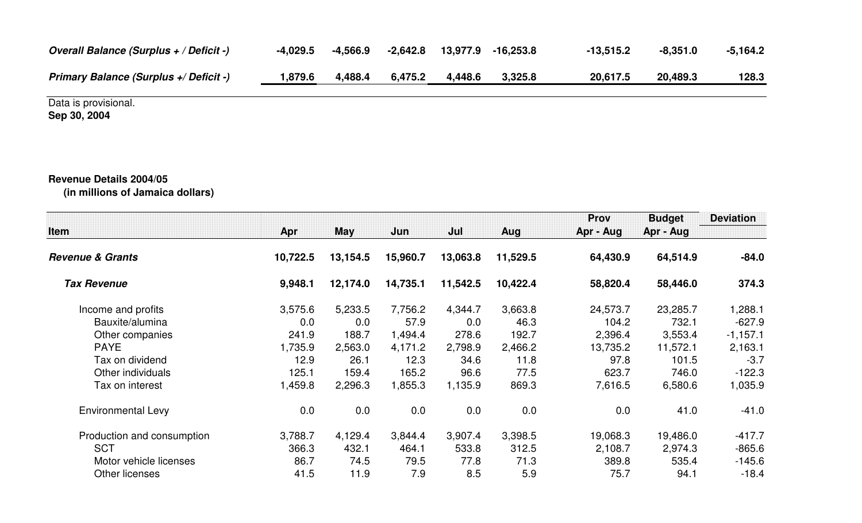| Overall Balance (Surplus + / Deficit -)       | -4.029.5 | $-4,566.9$ | -2,642.8 | 13,977.9 | $-16.253.8$ | $-13,515.2$ | $-8,351.0$ | $-5.164.2$ |
|-----------------------------------------------|----------|------------|----------|----------|-------------|-------------|------------|------------|
| <b>Primary Balance (Surplus +/ Deficit -)</b> | .,879.6  | 4,488.4    | 6,475.2  | 4,448.6  | 3,325.8     | 20,617.5    | 20,489.3   | 128.3      |

Data is provisional. **Sep 30, 2004**

## **Revenue Details 2004/05**

**(in millions of Jamaica dollars)**

| <b>Item</b>                 | Apr      | May      | Jun      | Jul      | Aug      | <b>Prov</b><br>Apr - Aug | <b>Budget</b><br>Apr - Aug | <b>Deviation</b> |
|-----------------------------|----------|----------|----------|----------|----------|--------------------------|----------------------------|------------------|
| <b>Revenue &amp; Grants</b> | 10,722.5 | 13,154.5 | 15,960.7 | 13,063.8 | 11,529.5 | 64,430.9                 | 64,514.9                   | $-84.0$          |
| <b>Tax Revenue</b>          | 9,948.1  | 12,174.0 | 14,735.1 | 11,542.5 | 10,422.4 | 58,820.4                 | 58,446.0                   | 374.3            |
| Income and profits          | 3,575.6  | 5,233.5  | 7,756.2  | 4,344.7  | 3,663.8  | 24,573.7                 | 23,285.7                   | 1,288.1          |
| Bauxite/alumina             | 0.0      | 0.0      | 57.9     | 0.0      | 46.3     | 104.2                    | 732.1                      | $-627.9$         |
| Other companies             | 241.9    | 188.7    | 1,494.4  | 278.6    | 192.7    | 2,396.4                  | 3,553.4                    | $-1,157.1$       |
| <b>PAYE</b>                 | 1,735.9  | 2,563.0  | 4,171.2  | 2,798.9  | 2,466.2  | 13,735.2                 | 11,572.1                   | 2,163.1          |
| Tax on dividend             | 12.9     | 26.1     | 12.3     | 34.6     | 11.8     | 97.8                     | 101.5                      | $-3.7$           |
| Other individuals           | 125.1    | 159.4    | 165.2    | 96.6     | 77.5     | 623.7                    | 746.0                      | $-122.3$         |
| Tax on interest             | ,459.8   | 2,296.3  | 1,855.3  | 1,135.9  | 869.3    | 7,616.5                  | 6,580.6                    | 1,035.9          |
| <b>Environmental Levy</b>   | 0.0      | 0.0      | 0.0      | 0.0      | 0.0      | 0.0                      | 41.0                       | $-41.0$          |
| Production and consumption  | 3,788.7  | 4,129.4  | 3,844.4  | 3,907.4  | 3,398.5  | 19,068.3                 | 19,486.0                   | $-417.7$         |
| <b>SCT</b>                  | 366.3    | 432.1    | 464.1    | 533.8    | 312.5    | 2,108.7                  | 2,974.3                    | $-865.6$         |
| Motor vehicle licenses      | 86.7     | 74.5     | 79.5     | 77.8     | 71.3     | 389.8                    | 535.4                      | $-145.6$         |
| Other licenses              | 41.5     | 11.9     | 7.9      | 8.5      | 5.9      | 75.7                     | 94.1                       | $-18.4$          |